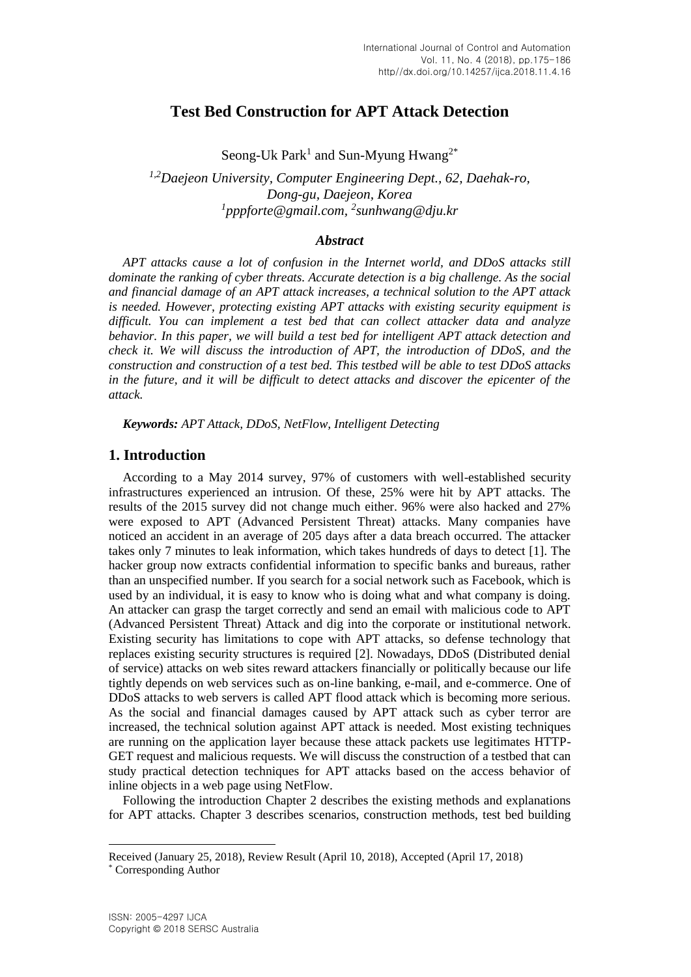# **Test Bed Construction for APT Attack Detection**

Seong-Uk Park<sup>1</sup> and Sun-Myung Hwang<sup>2\*</sup>

*1,2Daejeon University, Computer Engineering Dept., 62, Daehak-ro, Dong-gu, Daejeon, Korea 1 pppforte@gmail.com, 2 sunhwang@dju.kr*

### *Abstract*

*APT attacks cause a lot of confusion in the Internet world, and DDoS attacks still dominate the ranking of cyber threats. Accurate detection is a big challenge. As the social and financial damage of an APT attack increases, a technical solution to the APT attack is needed. However, protecting existing APT attacks with existing security equipment is difficult. You can implement a test bed that can collect attacker data and analyze behavior. In this paper, we will build a test bed for intelligent APT attack detection and check it. We will discuss the introduction of APT, the introduction of DDoS, and the construction and construction of a test bed. This testbed will be able to test DDoS attacks in the future, and it will be difficult to detect attacks and discover the epicenter of the attack.*

*Keywords: APT Attack, DDoS, NetFlow, Intelligent Detecting*

# **1. Introduction**

According to a May 2014 survey, 97% of customers with well-established security infrastructures experienced an intrusion. Of these, 25% were hit by APT attacks. The results of the 2015 survey did not change much either. 96% were also hacked and 27% were exposed to APT (Advanced Persistent Threat) attacks. Many companies have noticed an accident in an average of 205 days after a data breach occurred. The attacker takes only 7 minutes to leak information, which takes hundreds of days to detect [1]. The hacker group now extracts confidential information to specific banks and bureaus, rather than an unspecified number. If you search for a social network such as Facebook, which is used by an individual, it is easy to know who is doing what and what company is doing. An attacker can grasp the target correctly and send an email with malicious code to APT (Advanced Persistent Threat) Attack and dig into the corporate or institutional network. Existing security has limitations to cope with APT attacks, so defense technology that replaces existing security structures is required [2]. Nowadays, DDoS (Distributed denial of service) attacks on web sites reward attackers financially or politically because our life tightly depends on web services such as on-line banking, e-mail, and e-commerce. One of DDoS attacks to web servers is called APT flood attack which is becoming more serious. As the social and financial damages caused by APT attack such as cyber terror are increased, the technical solution against APT attack is needed. Most existing techniques are running on the application layer because these attack packets use legitimates HTTP-GET request and malicious requests. We will discuss the construction of a testbed that can study practical detection techniques for APT attacks based on the access behavior of inline objects in a web page using NetFlow.

Following the introduction Chapter 2 describes the existing methods and explanations for APT attacks. Chapter 3 describes scenarios, construction methods, test bed building

l

Received (January 25, 2018), Review Result (April 10, 2018), Accepted (April 17, 2018) \* Corresponding Author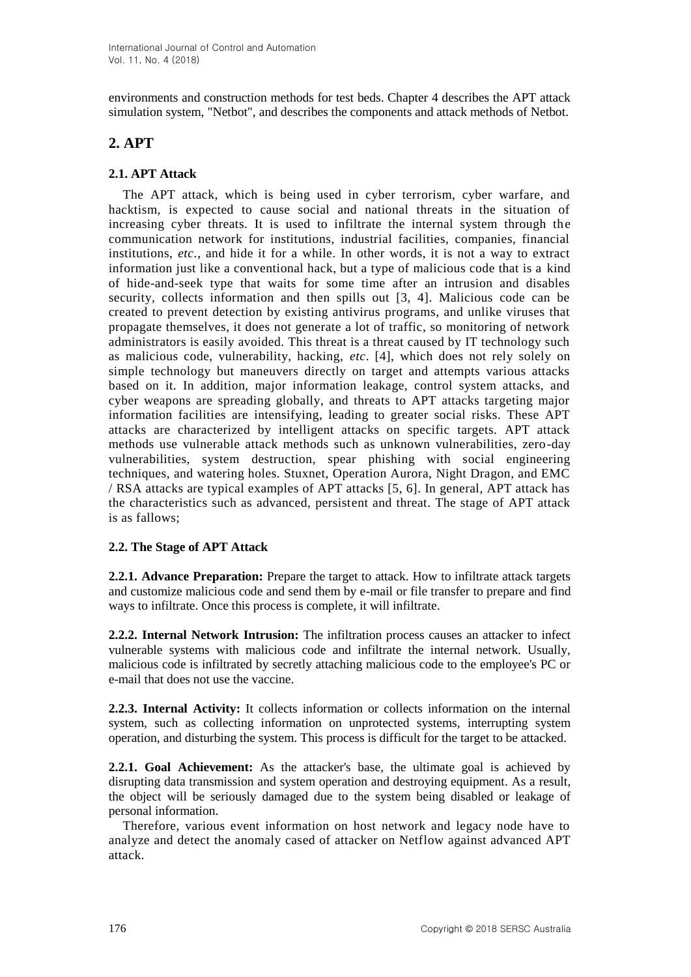environments and construction methods for test beds. Chapter 4 describes the APT attack simulation system, "Netbot", and describes the components and attack methods of Netbot.

# **2. APT**

## **2.1. APT Attack**

The APT attack, which is being used in cyber terrorism, cyber warfare, and hacktism, is expected to cause social and national threats in the situation of increasing cyber threats. It is used to infiltrate the internal system through the communication network for institutions, industrial facilities, companies, financial institutions, *etc.*, and hide it for a while. In other words, it is not a way to extract information just like a conventional hack, but a type of malicious code that is a kind of hide-and-seek type that waits for some time after an intrusion and disables security, collects information and then spills out [3, 4]. Malicious code can be created to prevent detection by existing antivirus programs, and unlike viruses that propagate themselves, it does not generate a lot of traffic, so monitoring of network administrators is easily avoided. This threat is a threat caused by IT technology such as malicious code, vulnerability, hacking, *etc*. [4], which does not rely solely on simple technology but maneuvers directly on target and attempts various attacks based on it. In addition, major information leakage, control system attacks, and cyber weapons are spreading globally, and threats to APT attacks targeting major information facilities are intensifying, leading to greater social risks. These APT attacks are characterized by intelligent attacks on specific targets. APT attack methods use vulnerable attack methods such as unknown vulnerabilities, zero-day vulnerabilities, system destruction, spear phishing with social engineering techniques, and watering holes. Stuxnet, Operation Aurora, Night Dragon, and EMC / RSA attacks are typical examples of APT attacks [5, 6]. In general, APT attack has the characteristics such as advanced, persistent and threat. The stage of APT attack is as fallows;

### **2.2. The Stage of APT Attack**

**2.2.1. Advance Preparation:** Prepare the target to attack. How to infiltrate attack targets and customize malicious code and send them by e-mail or file transfer to prepare and find ways to infiltrate. Once this process is complete, it will infiltrate.

**2.2.2. Internal Network Intrusion:** The infiltration process causes an attacker to infect vulnerable systems with malicious code and infiltrate the internal network. Usually, malicious code is infiltrated by secretly attaching malicious code to the employee's PC or e-mail that does not use the vaccine.

**2.2.3. Internal Activity:** It collects information or collects information on the internal system, such as collecting information on unprotected systems, interrupting system operation, and disturbing the system. This process is difficult for the target to be attacked.

**2.2.1. Goal Achievement:** As the attacker's base, the ultimate goal is achieved by disrupting data transmission and system operation and destroying equipment. As a result, the object will be seriously damaged due to the system being disabled or leakage of personal information.

Therefore, various event information on host network and legacy node have to analyze and detect the anomaly cased of attacker on Netflow against advanced APT attack.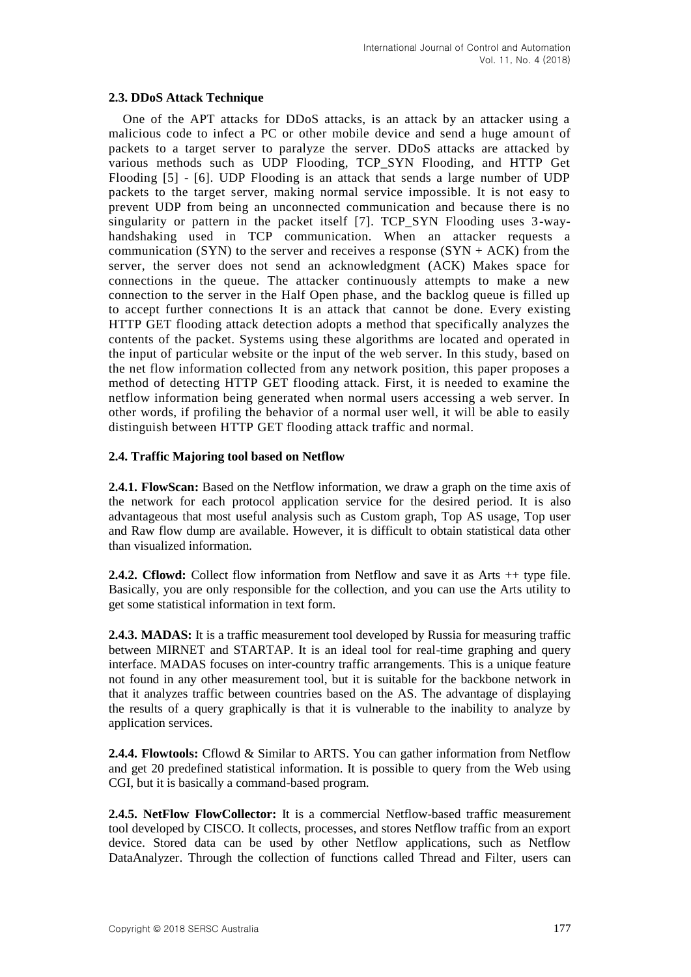### **2.3. DDoS Attack Technique**

One of the APT attacks for DDoS attacks, is an attack by an attacker using a malicious code to infect a PC or other mobile device and send a huge amount of packets to a target server to paralyze the server. DDoS attacks are attacked by various methods such as UDP Flooding, TCP\_SYN Flooding, and HTTP Get Flooding [5] - [6]. UDP Flooding is an attack that sends a large number of UDP packets to the target server, making normal service impossible. It is not easy to prevent UDP from being an unconnected communication and because there is no singularity or pattern in the packet itself [7]. TCP\_SYN Flooding uses 3-wayhandshaking used in TCP communication. When an attacker requests a communication (SYN) to the server and receives a response (SYN +  $ACK$ ) from the server, the server does not send an acknowledgment (ACK) Makes space for connections in the queue. The attacker continuously attempts to make a new connection to the server in the Half Open phase, and the backlog queue is filled up to accept further connections It is an attack that cannot be done. Every existing HTTP GET flooding attack detection adopts a method that specifically analyzes the contents of the packet. Systems using these algorithms are located and operated in the input of particular website or the input of the web server. In this study, based on the net flow information collected from any network position, this paper proposes a method of detecting HTTP GET flooding attack. First, it is needed to examine the netflow information being generated when normal users accessing a web server. In other words, if profiling the behavior of a normal user well, it will be able to easily distinguish between HTTP GET flooding attack traffic and normal.

### **2.4. Traffic Majoring tool based on Netflow**

**2.4.1. FlowScan:** Based on the Netflow information, we draw a graph on the time axis of the network for each protocol application service for the desired period. It is also advantageous that most useful analysis such as Custom graph, Top AS usage, Top user and Raw flow dump are available. However, it is difficult to obtain statistical data other than visualized information.

**2.4.2. Cflowd:** Collect flow information from Netflow and save it as Arts  $++$  type file. Basically, you are only responsible for the collection, and you can use the Arts utility to get some statistical information in text form.

**2.4.3. MADAS:** It is a traffic measurement tool developed by Russia for measuring traffic between MIRNET and STARTAP. It is an ideal tool for real-time graphing and query interface. MADAS focuses on inter-country traffic arrangements. This is a unique feature not found in any other measurement tool, but it is suitable for the backbone network in that it analyzes traffic between countries based on the AS. The advantage of displaying the results of a query graphically is that it is vulnerable to the inability to analyze by application services.

**2.4.4. Flowtools:** Cflowd & Similar to ARTS. You can gather information from Netflow and get 20 predefined statistical information. It is possible to query from the Web using CGI, but it is basically a command-based program.

**2.4.5. NetFlow FlowCollector:** It is a commercial Netflow-based traffic measurement tool developed by CISCO. It collects, processes, and stores Netflow traffic from an export device. Stored data can be used by other Netflow applications, such as Netflow DataAnalyzer. Through the collection of functions called Thread and Filter, users can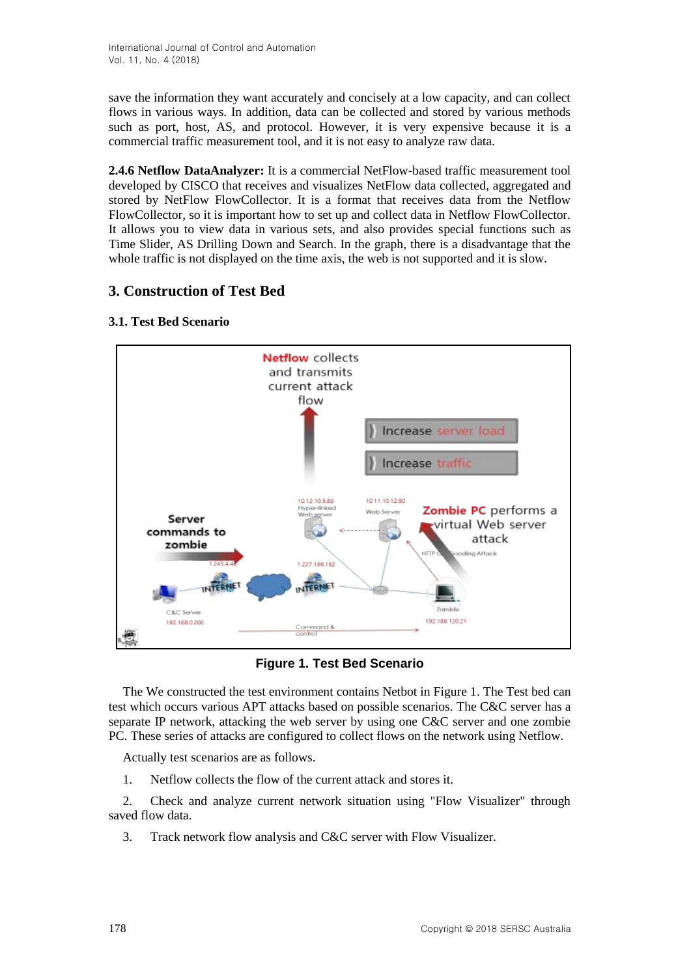save the information they want accurately and concisely at a low capacity, and can collect flows in various ways. In addition, data can be collected and stored by various methods such as port, host, AS, and protocol. However, it is very expensive because it is a commercial traffic measurement tool, and it is not easy to analyze raw data.

**2.4.6 Netflow DataAnalyzer:** It is a commercial NetFlow-based traffic measurement tool developed by CISCO that receives and visualizes NetFlow data collected, aggregated and stored by NetFlow FlowCollector. It is a format that receives data from the Netflow FlowCollector, so it is important how to set up and collect data in Netflow FlowCollector. It allows you to view data in various sets, and also provides special functions such as Time Slider, AS Drilling Down and Search. In the graph, there is a disadvantage that the whole traffic is not displayed on the time axis, the web is not supported and it is slow.

# **3. Construction of Test Bed**



## **3.1. Test Bed Scenario**

**Figure 1. Test Bed Scenario**

The We constructed the test environment contains Netbot in Figure 1. The Test bed can test which occurs various APT attacks based on possible scenarios. The C&C server has a separate IP network, attacking the web server by using one C&C server and one zombie PC. These series of attacks are configured to collect flows on the network using Netflow.

Actually test scenarios are as follows.

1. Netflow collects the flow of the current attack and stores it.

2. Check and analyze current network situation using "Flow Visualizer" through saved flow data.

3. Track network flow analysis and C&C server with Flow Visualizer.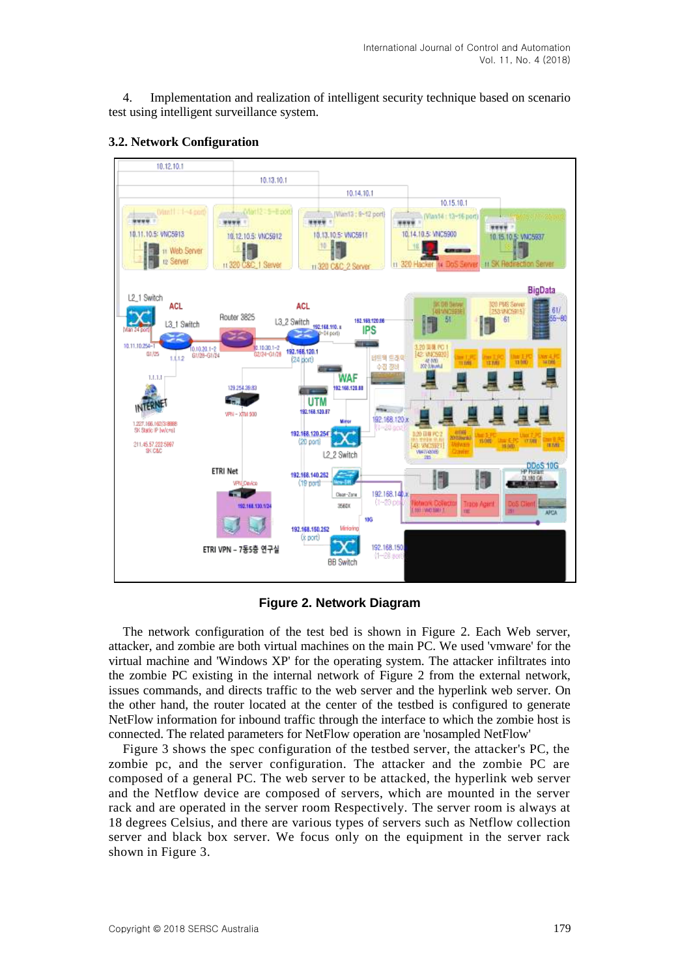4. Implementation and realization of intelligent security technique based on scenario test using intelligent surveillance system.



#### **3.2. Network Configuration**

**Figure 2. Network Diagram**

The network configuration of the test bed is shown in Figure 2. Each Web server, attacker, and zombie are both virtual machines on the main PC. We used 'vmware' for the virtual machine and 'Windows XP' for the operating system. The attacker infiltrates into the zombie PC existing in the internal network of Figure 2 from the external network, issues commands, and directs traffic to the web server and the hyperlink web server. On the other hand, the router located at the center of the testbed is configured to generate NetFlow information for inbound traffic through the interface to which the zombie host is connected. The related parameters for NetFlow operation are 'nosampled NetFlow'

Figure 3 shows the spec configuration of the testbed server, the attacker's PC, the zombie pc, and the server configuration. The attacker and the zombie PC are composed of a general PC. The web server to be attacked, the hyperlink web server and the Netflow device are composed of servers, which are mounted in the server rack and are operated in the server room Respectively. The server room is always at 18 degrees Celsius, and there are various types of servers such as Netflow collection server and black box server. We focus only on the equipment in the server rack shown in Figure 3.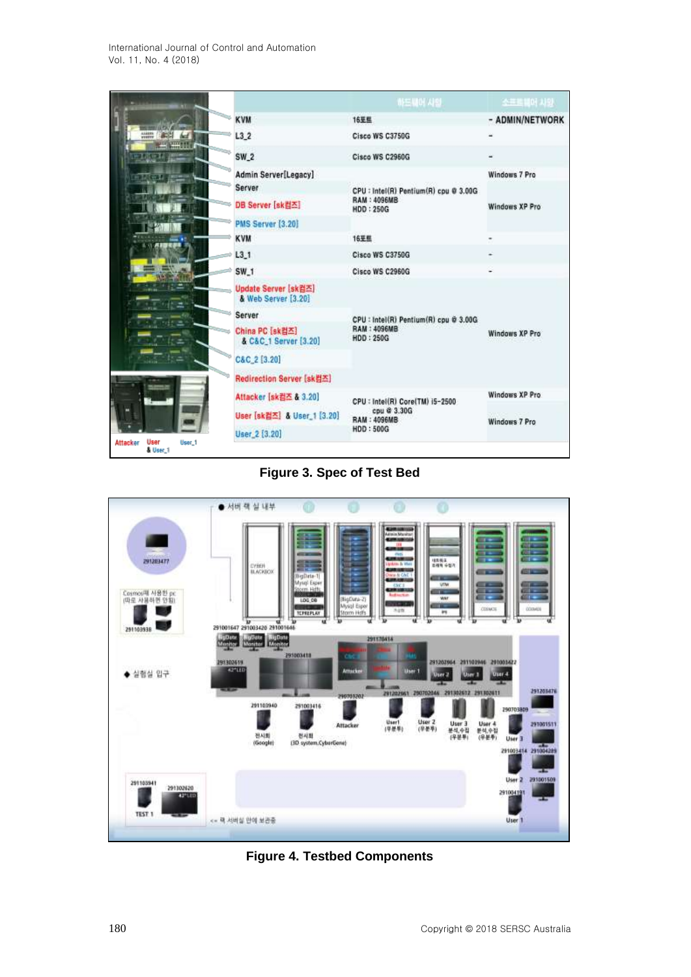International Journal of Control and Automation Vol. 11, No. 4 (2018)

|                                               |                                             | 하드뿐이 사항                                | 소프트웨어 사양              |  |  |  |
|-----------------------------------------------|---------------------------------------------|----------------------------------------|-----------------------|--|--|--|
|                                               | <b>KVM</b>                                  | 16至些                                   | - ADMIN/NETWORK       |  |  |  |
| 634039                                        | L32                                         | Cisco WS C3750G                        |                       |  |  |  |
|                                               | $SW_2$                                      | Cisco WS C2960G                        |                       |  |  |  |
|                                               | Admin Server[Legacy]                        |                                        | <b>Windows 7 Pro</b>  |  |  |  |
|                                               | Server                                      | CPU : Intel(R) Pentium(R) cpu @ 3.00G  |                       |  |  |  |
|                                               | DB Server [sk컴즈]                            | <b>RAM: 4096MB</b><br><b>HDD: 250G</b> | Windows XP Pro        |  |  |  |
|                                               | PMS Server [3.20]                           |                                        |                       |  |  |  |
|                                               | <b>KVM</b>                                  | 16至些                                   |                       |  |  |  |
|                                               | L3.1                                        | Cisco WS C3750G                        |                       |  |  |  |
|                                               | $SW_1$                                      | Cisco WS C2960G                        |                       |  |  |  |
| 化生<br>北上                                      | Update Server [sk컴즈]<br>& Web Server [3.20] |                                        |                       |  |  |  |
|                                               | Server                                      | CPU : Intel(R) Pentium(R) cpu @ 3.00G  | <b>Windows XP Pro</b> |  |  |  |
|                                               | China PC [sk컴즈]<br>& C&C_1 Server [3.20]    | <b>RAM: 4096MB</b><br><b>HDD: 250G</b> |                       |  |  |  |
|                                               | C&C_2 [3.20]                                |                                        |                       |  |  |  |
|                                               | Redirection Server [sk컴즈]                   |                                        |                       |  |  |  |
|                                               | Attacker [sk컴즈 & 3.20]                      | CPU : Intel(R) Core(TM) i5-2500        | Windows XP Pro.       |  |  |  |
|                                               | User [sk컵즈] & User_1 [3.20]                 | cpu @ 3.30G<br><b>RAM: 4096MB</b>      | Windows 7 Pro         |  |  |  |
|                                               | User 2 [3.20]                               | HDD: 500G                              |                       |  |  |  |
| User<br>User 1<br><b>Attacker</b><br>& User 1 |                                             |                                        |                       |  |  |  |

**Figure 3. Spec of Test Bed**



**Figure 4. Testbed Components**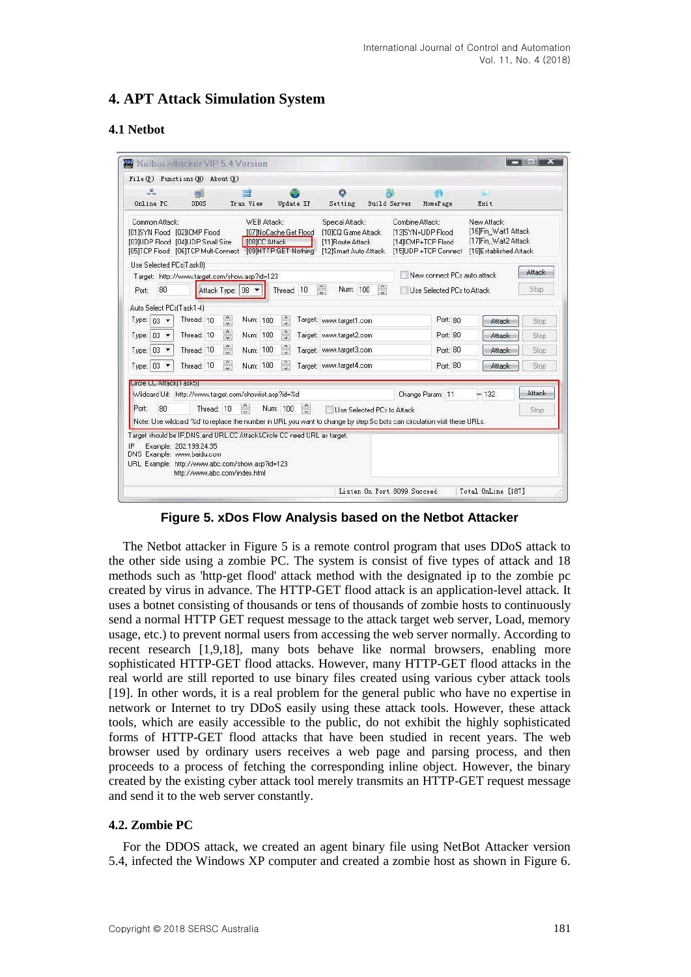## **4. APT Attack Simulation System**

### **4.1 Netbot**

| 風<br>Online PC                                 | 鼿<br>DDOS                                                                                                  | Tran View                  | Update IP                                                                                         | Setting                                                                                                                   | <b>Build Server</b>        | HomePage                                                                           | w<br>Exit                                                                             |        |
|------------------------------------------------|------------------------------------------------------------------------------------------------------------|----------------------------|---------------------------------------------------------------------------------------------------|---------------------------------------------------------------------------------------------------------------------------|----------------------------|------------------------------------------------------------------------------------|---------------------------------------------------------------------------------------|--------|
| Common Attack:<br>[01]SYN Flood [02]ICMP Flood | [03]UDP Flood [04]UDP Small Size                                                                           | WEB Attack:                | [07]NoCache Get Flood<br>[08]CC Attack<br>[05]TCP Flood [06]TCP Mult-Connect [09]HTTP GET Nothing | Speical Attack:<br>[10]CQ Game Attack<br>[11] Route Attack<br>[12]Smart Auto Attack                                       |                            | Combine Attack:<br>[13]SYN+UDP Flood<br>[14] CMP+TCP Flood<br>[15]UDP +TCP Connect | New Attack:<br>[16]Fin_Wait1 Attack<br>[17]Fin_Wait2 Attack<br>[18]Established Attack |        |
| Use Selected PCs(Task0)                        |                                                                                                            |                            |                                                                                                   |                                                                                                                           |                            | New connect PCs auto attack                                                        |                                                                                       | Attack |
| 80<br>Port:                                    | Target: http://www.target.com/show.asp?id=123                                                              | Attack Type: 08 ▼          | Thread: 10                                                                                        | $\frac{1}{2}$<br>Num: 100                                                                                                 | $\hat{\cdot}$              | Use Selected PCs to Attack                                                         |                                                                                       | Stop   |
| Auto Select PCs(Task1-4)                       |                                                                                                            |                            |                                                                                                   |                                                                                                                           |                            |                                                                                    |                                                                                       |        |
| Type: $03 \rightarrow$                         | Thread: 10                                                                                                 | $\ddot{\cdot}$<br>Num: 100 | $\ddot{\cdot}$                                                                                    | Target: www.target1.com                                                                                                   |                            | Port: 80                                                                           | Attack                                                                                | Stop   |
| Type: $03$<br>$\overline{\phantom{a}}$         | Thread: 10                                                                                                 | $\ddot{\cdot}$<br>Num: 100 | $\ddot{\cdot}$                                                                                    | Target: www.target2.com                                                                                                   |                            | Port: 80                                                                           | Attack                                                                                | Stop   |
| 03<br>Type:                                    | Thread: 10                                                                                                 | $\ddot{\cdot}$<br>Num: 100 | $\hat{\cdot}$                                                                                     | Target: www.target3.com                                                                                                   |                            | Port: 80                                                                           | Attack                                                                                | Stop   |
| Type: $03$ $\star$                             | Thread: 10                                                                                                 | $\frac{1}{2}$<br>Num: 100  | $\frac{1}{2}$                                                                                     | Target: www.target4.com                                                                                                   |                            | Port: 80                                                                           | Attack                                                                                | Stop   |
| Lircle LL Attack   Lask5                       |                                                                                                            |                            |                                                                                                   |                                                                                                                           |                            |                                                                                    |                                                                                       |        |
|                                                | Wildcard Url: http://www.target.com/showlist.asp?id=%d                                                     |                            |                                                                                                   |                                                                                                                           |                            | Change Param: 11                                                                   | $= 132$                                                                               | Attack |
| 80<br>Port:                                    | Thread: 10                                                                                                 | $\hat{u}$                  | $\hat{z}$<br>Num: 100                                                                             |                                                                                                                           | Use Selected PCs to Attack |                                                                                    |                                                                                       | Stop   |
|                                                |                                                                                                            |                            |                                                                                                   | Note: Use wildcard '%d' to replace the number in URL you want to change by step.So bots can circulation visit these URLs. |                            |                                                                                    |                                                                                       |        |
| IP<br>DNS Example: www.baidu.com               | Example: 202.199.24.35<br>URL Example: http://www.abc.com/show.asp?id=123<br>http://www.abc.com/index.html |                            | Target should be IP,DNS, and URL.CC Attack&Circle CC need URL as target.                          |                                                                                                                           |                            |                                                                                    |                                                                                       |        |
|                                                |                                                                                                            |                            |                                                                                                   |                                                                                                                           |                            |                                                                                    |                                                                                       |        |

**Figure 5. xDos Flow Analysis based on the Netbot Attacker**

The Netbot attacker in Figure 5 is a remote control program that uses DDoS attack to the other side using a zombie PC. The system is consist of five types of attack and 18 methods such as 'http-get flood' attack method with the designated ip to the zombie pc created by virus in advance. The HTTP-GET flood attack is an application-level attack. It uses a botnet consisting of thousands or tens of thousands of zombie hosts to continuously send a normal HTTP GET request message to the attack target web server, Load, memory usage, etc.) to prevent normal users from accessing the web server normally. According to recent research [1,9,18], many bots behave like normal browsers, enabling more sophisticated HTTP-GET flood attacks. However, many HTTP-GET flood attacks in the real world are still reported to use binary files created using various cyber attack tools [19]. In other words, it is a real problem for the general public who have no expertise in network or Internet to try DDoS easily using these attack tools. However, these attack tools, which are easily accessible to the public, do not exhibit the highly sophisticated forms of HTTP-GET flood attacks that have been studied in recent years. The web browser used by ordinary users receives a web page and parsing process, and then proceeds to a process of fetching the corresponding inline object. However, the binary created by the existing cyber attack tool merely transmits an HTTP-GET request message and send it to the web server constantly.

### **4.2. Zombie PC**

For the DDOS attack, we created an agent binary file using NetBot Attacker version 5.4, infected the Windows XP computer and created a zombie host as shown in Figure 6.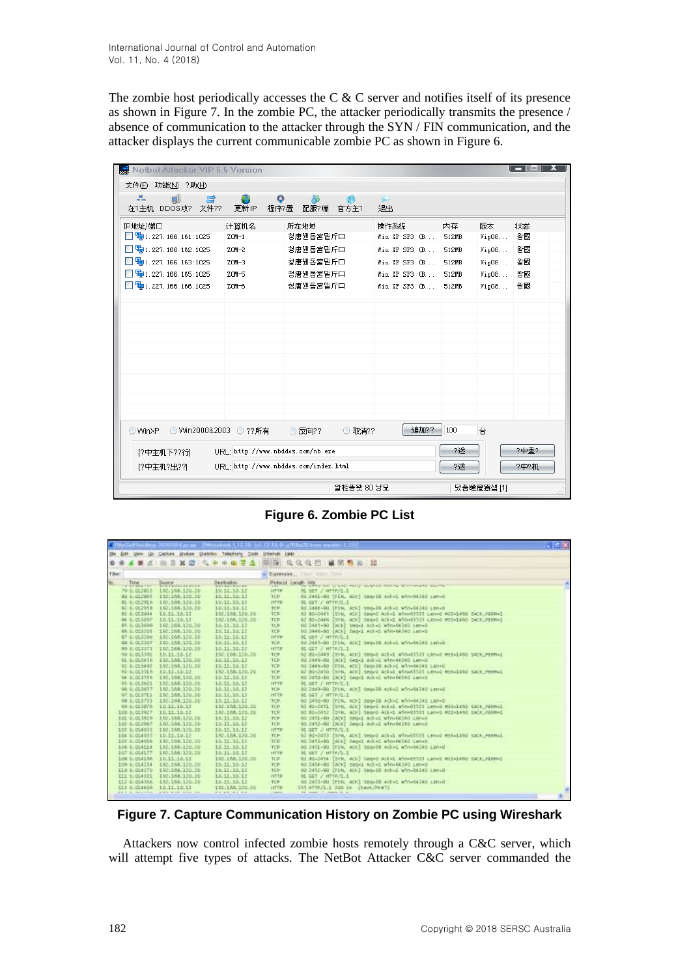The zombie host periodically accesses the C & C server and notifies itself of its presence as shown in Figure 7. In the zombie PC, the attacker periodically transmits the presence / absence of communication to the attacker through the SYN / FIN communication, and the attacker displays the current communicable zombie PC as shown in Figure 6.

| Netbot Attacker VIP 5.5 Version                                          |                                   |                                      |                 |                |      |
|--------------------------------------------------------------------------|-----------------------------------|--------------------------------------|-----------------|----------------|------|
| 文件(F) 功能(N) ?助(H)                                                        |                                   |                                      |                 |                |      |
|                                                                          |                                   |                                      |                 |                |      |
| 品<br>ਥੇ<br>哪<br>在?主机 DDOS攻? 文件??                                         | $\circ$<br>更新IP<br>程序?置           | Жö<br>配服?端<br>官方主?                   | $\bullet$<br>退出 |                |      |
|                                                                          |                                   |                                      |                 |                |      |
| IP地址/端口                                                                  | 计算机名                              | 所在地域                                 | 操作系统            | 内存<br>版本       | 状态   |
| $\Box$ 4 1. 227. 166. 161: 1025                                          | $ZOM-1$                           | 청唐꿴돕宮밑斤口                             | Win XP SP3 (B   | 512MB<br>Vip08 | 왕國   |
| $\Box$ 4 1. 227. 166. 162: 1025                                          | $ZOM-2$                           | 청唐꿴돕宮밑斤口                             | Win XP SP3 (B   | 512MB<br>Vip08 | 왕國   |
| $\Box$ 4 1.227.166.163:1025                                              | $ZOM-3$                           | 청唐꿴돔宮밑斤口                             | Win XP SP3 (B   | 512MB<br>Vip08 | 왕國   |
| $\Box$ 4 1. 227. 166. 165: 1025                                          | $ZOM-5$                           | 청唐꿴돕宮밑斤口                             | Win XP SP3 (B   | Vip08<br>512MB | 왕國   |
| $\Box$ 4 1. 227. 166. 166: 1025                                          | $ZOM-6$                           | 청唐꿴돕宮밑斤口                             | Win XP SP3 (B   | Vip08<br>512MB | 왕國   |
|                                                                          |                                   |                                      |                 |                |      |
|                                                                          |                                   |                                      |                 |                |      |
|                                                                          |                                   |                                      |                 |                |      |
|                                                                          |                                   |                                      |                 |                |      |
|                                                                          |                                   |                                      |                 |                |      |
|                                                                          |                                   |                                      |                 |                |      |
|                                                                          |                                   |                                      |                 |                |      |
|                                                                          |                                   |                                      |                 |                |      |
|                                                                          |                                   |                                      |                 |                |      |
|                                                                          |                                   |                                      |                 |                |      |
|                                                                          |                                   |                                      |                 |                |      |
| 追加??<br>100<br>◎ Win2000&2003 ◎ ??所有<br>台<br>O WinXP<br>◎ 反向??<br>◎ 取省?? |                                   |                                      |                 |                |      |
| 1?中主机下??行]                                                               | URL: http://www.nbddos.com/nb.exe |                                      |                 | ?逢             | ?中重? |
| [?中主机?出??]                                                               |                                   | URI http://www.nbddos.com/index.html |                 | ?逢             | ?中?机 |
|                                                                          |                                   | 솰桂똥왯 80 냥묘                           |                 | 뎠품瞳窟寮샙 [1]     | 35   |

**Figure 6. Zombie PC List**

| Bie Edit jaw Gr Cachae (palyon Shantou Telephony Tool) (plannet Help<br>2 由三苯定 4 4 4 4 7 4 10 12 14 14 15 16 16 16 26 27<br>۰<br>寒<br>Filter:<br>Deressies  New Asset flam<br>W.<br>Degradon<br>Pictocol Lange, 1974 and ill and was a subsequent of the person and the<br><b>COMMONS</b><br><b>PATTES ANTIQUES CON</b><br>79 0.012927<br>192.168.120.70<br>10.11 10.12<br>HTTP<br>91 GET / HTTP/L.L<br>#0 0.012#65 102.168.120.20<br>10.11.10.12<br>TOP:<br>80-2441-80 [FIN, 4CK] Seq-15 Act -1 win-84740 Lan-E<br>81 0.012916 192.168.120.20<br>10.11.10.12<br><b>HTTP</b><br>SL GET / HTTP/L.1<br>82-0.012958 192.008.120.20<br>60 2444-80 (PTN, ACK) 980-38 AUL-1 950-64240 LMI-0<br>10.11.10.17<br><b>TCP</b><br>EI 0.013044 10.11.10.12<br>83 BD+2441 [Dris, ADI] Sep+0 Act=1 afm=01231 Lan=2 HCE=1460 SACK_PERH=1<br>100,100,130,00<br>TCR:<br>84 0.015097 10.11.10.12<br>62 80-3446 TSVN, ACC SEG-D Sck-1 W10-65535 LEG-D MIS-1460 SACK_FERM-1<br>180.169.150.20<br>TCB<br>#6 p.05309A 192.568.130.20<br>90 2445-90 (ACA) Impel Ackel Winefelds LeneD<br>10.11, 10.12<br>TCP.<br>80 2446-80 [ACK] Seg=1 Ack=1 Win=64240 Lan=0<br>86 0.011201 107, 168, 120, 28<br>10.11.10.12<br>TCP<br>87-0.013266 182.165.120.20<br>10.11.10.12<br>91 GET / HTTP/1.1<br><b>HTTP</b><br>68 0.013307 102.168.120.20<br>10.11.19.11<br>TCP<br>60 2445-00 TFIN, ACK] Sep-10 Ack-1 win-64240 Lan-D<br>89 0.013371 150, 168, 150, 39<br><b>HEER</b><br><b>MIGET / HTTR/L.I.</b><br>10.11.10.10<br>90 0.013391 10.11.10.12<br>192.109.120.20<br>62.00-2449 IT/N, ACKI SHOULD ACT-1 WID-65535 LEN-1 MIS-1460 SACK_PERMILL<br>TCP<br>00 2449-BO (ACK) Sep-1 Adv-1 Win-64240 Lan-0<br>91 0.011410 102.168.120.20<br>10.11.10.12<br>TCP. | $\blacksquare$ if $X$ |
|-------------------------------------------------------------------------------------------------------------------------------------------------------------------------------------------------------------------------------------------------------------------------------------------------------------------------------------------------------------------------------------------------------------------------------------------------------------------------------------------------------------------------------------------------------------------------------------------------------------------------------------------------------------------------------------------------------------------------------------------------------------------------------------------------------------------------------------------------------------------------------------------------------------------------------------------------------------------------------------------------------------------------------------------------------------------------------------------------------------------------------------------------------------------------------------------------------------------------------------------------------------------------------------------------------------------------------------------------------------------------------------------------------------------------------------------------------------------------------------------------------------------------------------------------------------------------------------------------------------------------------------------------------------------------------------------------------------------------|-----------------------|
|                                                                                                                                                                                                                                                                                                                                                                                                                                                                                                                                                                                                                                                                                                                                                                                                                                                                                                                                                                                                                                                                                                                                                                                                                                                                                                                                                                                                                                                                                                                                                                                                                                                                                                                         |                       |
|                                                                                                                                                                                                                                                                                                                                                                                                                                                                                                                                                                                                                                                                                                                                                                                                                                                                                                                                                                                                                                                                                                                                                                                                                                                                                                                                                                                                                                                                                                                                                                                                                                                                                                                         |                       |
|                                                                                                                                                                                                                                                                                                                                                                                                                                                                                                                                                                                                                                                                                                                                                                                                                                                                                                                                                                                                                                                                                                                                                                                                                                                                                                                                                                                                                                                                                                                                                                                                                                                                                                                         |                       |
|                                                                                                                                                                                                                                                                                                                                                                                                                                                                                                                                                                                                                                                                                                                                                                                                                                                                                                                                                                                                                                                                                                                                                                                                                                                                                                                                                                                                                                                                                                                                                                                                                                                                                                                         |                       |
|                                                                                                                                                                                                                                                                                                                                                                                                                                                                                                                                                                                                                                                                                                                                                                                                                                                                                                                                                                                                                                                                                                                                                                                                                                                                                                                                                                                                                                                                                                                                                                                                                                                                                                                         |                       |
|                                                                                                                                                                                                                                                                                                                                                                                                                                                                                                                                                                                                                                                                                                                                                                                                                                                                                                                                                                                                                                                                                                                                                                                                                                                                                                                                                                                                                                                                                                                                                                                                                                                                                                                         |                       |
|                                                                                                                                                                                                                                                                                                                                                                                                                                                                                                                                                                                                                                                                                                                                                                                                                                                                                                                                                                                                                                                                                                                                                                                                                                                                                                                                                                                                                                                                                                                                                                                                                                                                                                                         |                       |
|                                                                                                                                                                                                                                                                                                                                                                                                                                                                                                                                                                                                                                                                                                                                                                                                                                                                                                                                                                                                                                                                                                                                                                                                                                                                                                                                                                                                                                                                                                                                                                                                                                                                                                                         |                       |
|                                                                                                                                                                                                                                                                                                                                                                                                                                                                                                                                                                                                                                                                                                                                                                                                                                                                                                                                                                                                                                                                                                                                                                                                                                                                                                                                                                                                                                                                                                                                                                                                                                                                                                                         |                       |
|                                                                                                                                                                                                                                                                                                                                                                                                                                                                                                                                                                                                                                                                                                                                                                                                                                                                                                                                                                                                                                                                                                                                                                                                                                                                                                                                                                                                                                                                                                                                                                                                                                                                                                                         |                       |
|                                                                                                                                                                                                                                                                                                                                                                                                                                                                                                                                                                                                                                                                                                                                                                                                                                                                                                                                                                                                                                                                                                                                                                                                                                                                                                                                                                                                                                                                                                                                                                                                                                                                                                                         |                       |
|                                                                                                                                                                                                                                                                                                                                                                                                                                                                                                                                                                                                                                                                                                                                                                                                                                                                                                                                                                                                                                                                                                                                                                                                                                                                                                                                                                                                                                                                                                                                                                                                                                                                                                                         |                       |
|                                                                                                                                                                                                                                                                                                                                                                                                                                                                                                                                                                                                                                                                                                                                                                                                                                                                                                                                                                                                                                                                                                                                                                                                                                                                                                                                                                                                                                                                                                                                                                                                                                                                                                                         |                       |
|                                                                                                                                                                                                                                                                                                                                                                                                                                                                                                                                                                                                                                                                                                                                                                                                                                                                                                                                                                                                                                                                                                                                                                                                                                                                                                                                                                                                                                                                                                                                                                                                                                                                                                                         |                       |
|                                                                                                                                                                                                                                                                                                                                                                                                                                                                                                                                                                                                                                                                                                                                                                                                                                                                                                                                                                                                                                                                                                                                                                                                                                                                                                                                                                                                                                                                                                                                                                                                                                                                                                                         |                       |
|                                                                                                                                                                                                                                                                                                                                                                                                                                                                                                                                                                                                                                                                                                                                                                                                                                                                                                                                                                                                                                                                                                                                                                                                                                                                                                                                                                                                                                                                                                                                                                                                                                                                                                                         |                       |
|                                                                                                                                                                                                                                                                                                                                                                                                                                                                                                                                                                                                                                                                                                                                                                                                                                                                                                                                                                                                                                                                                                                                                                                                                                                                                                                                                                                                                                                                                                                                                                                                                                                                                                                         |                       |
|                                                                                                                                                                                                                                                                                                                                                                                                                                                                                                                                                                                                                                                                                                                                                                                                                                                                                                                                                                                                                                                                                                                                                                                                                                                                                                                                                                                                                                                                                                                                                                                                                                                                                                                         |                       |
| 80 2445-80 (FIN, ADI) Senits Acked win-64240 Laned<br>92.0.013492 157,588,170.29<br>15.11.16.12<br>TCP.                                                                                                                                                                                                                                                                                                                                                                                                                                                                                                                                                                                                                                                                                                                                                                                                                                                                                                                                                                                                                                                                                                                                                                                                                                                                                                                                                                                                                                                                                                                                                                                                                 |                       |
| 93 0.013515 10.11.10.17<br>190.168.130.30<br>62 80-2450 [SVM, ACK] SEGAD ACE-C attradition centralians sack remeal.<br>TCF                                                                                                                                                                                                                                                                                                                                                                                                                                                                                                                                                                                                                                                                                                                                                                                                                                                                                                                                                                                                                                                                                                                                                                                                                                                                                                                                                                                                                                                                                                                                                                                              |                       |
| 90 2450+80 [ACI] Exp-1 Ack+1 Wfn=64240 Latt=0<br>94 0.013358 102,168,120.20<br>10.11.10.12<br>TCP:                                                                                                                                                                                                                                                                                                                                                                                                                                                                                                                                                                                                                                                                                                                                                                                                                                                                                                                                                                                                                                                                                                                                                                                                                                                                                                                                                                                                                                                                                                                                                                                                                      |                       |
| 95 0.01 FATI 192.165.120.28<br>10.11.10.12<br><b>HTTP</b><br>ML GET / HETRUS I                                                                                                                                                                                                                                                                                                                                                                                                                                                                                                                                                                                                                                                                                                                                                                                                                                                                                                                                                                                                                                                                                                                                                                                                                                                                                                                                                                                                                                                                                                                                                                                                                                          |                       |
| 96.0.013657 102.168.120.20<br>10.11.10.13<br>40 2449-60 Ditk, ADC Seguie Advis sin-64240 Len-D<br>TE #                                                                                                                                                                                                                                                                                                                                                                                                                                                                                                                                                                                                                                                                                                                                                                                                                                                                                                                                                                                                                                                                                                                                                                                                                                                                                                                                                                                                                                                                                                                                                                                                                  |                       |
| 97 9 911711 197.168.120.20<br>10.11.10.12<br><b>HTTP</b><br><b>91 GET / HTTP/S.1</b>                                                                                                                                                                                                                                                                                                                                                                                                                                                                                                                                                                                                                                                                                                                                                                                                                                                                                                                                                                                                                                                                                                                                                                                                                                                                                                                                                                                                                                                                                                                                                                                                                                    |                       |
| 98 0.013753 192.199.170.20<br>VS 2450-80 TriN, ADC SEU-38 AODS Win-64240 LenaD<br>10.11.10.12<br>大丈夫                                                                                                                                                                                                                                                                                                                                                                                                                                                                                                                                                                                                                                                                                                                                                                                                                                                                                                                                                                                                                                                                                                                                                                                                                                                                                                                                                                                                                                                                                                                                                                                                                    |                       |
| 95 0.013876 10.15.10.13<br>62 80-2451 [UVM, ACH] Seq-0 Act-1 win-01525 Len-5 MSS-1400 DACK FERM-1<br>160.168.120.30<br>学仁良                                                                                                                                                                                                                                                                                                                                                                                                                                                                                                                                                                                                                                                                                                                                                                                                                                                                                                                                                                                                                                                                                                                                                                                                                                                                                                                                                                                                                                                                                                                                                                                              |                       |
| 82 80+2412 TSYN, AD() Seg=0 Ack=1 w\n=E9531 Lan=0 H10=1460 SACK_PERM=1<br>100 0.011927 10.11:10.12<br>180.168.120.20<br>TCP:                                                                                                                                                                                                                                                                                                                                                                                                                                                                                                                                                                                                                                                                                                                                                                                                                                                                                                                                                                                                                                                                                                                                                                                                                                                                                                                                                                                                                                                                                                                                                                                            |                       |
| 141 0.413928 107.169.170.78<br>60 2451-89 (ACH) tegal acked Winefalled Lenau<br>19.11.19.12<br><b>TCP</b>                                                                                                                                                                                                                                                                                                                                                                                                                                                                                                                                                                                                                                                                                                                                                                                                                                                                                                                                                                                                                                                                                                                                                                                                                                                                                                                                                                                                                                                                                                                                                                                                               |                       |
| 100 9.013957 192.104.139.20<br>10.11.10.17<br>00 2452-80 [ACE] Eag-1 Act-1 Win-54240 Lan-D<br>TCF                                                                                                                                                                                                                                                                                                                                                                                                                                                                                                                                                                                                                                                                                                                                                                                                                                                                                                                                                                                                                                                                                                                                                                                                                                                                                                                                                                                                                                                                                                                                                                                                                       |                       |
| 101 0.014035 197.168.120.20<br>VI GET / HTTP/S.1<br>15.11.19.12<br>HTTP                                                                                                                                                                                                                                                                                                                                                                                                                                                                                                                                                                                                                                                                                                                                                                                                                                                                                                                                                                                                                                                                                                                                                                                                                                                                                                                                                                                                                                                                                                                                                                                                                                                 |                       |
| 104 0.054035 10.12.10.12<br>130.166.120.20<br>62 80-2453 [SYN, ACK] Senwe act=1 afra@SERS Lenwe MIS=1460 sack_PERM=1<br>共同                                                                                                                                                                                                                                                                                                                                                                                                                                                                                                                                                                                                                                                                                                                                                                                                                                                                                                                                                                                                                                                                                                                                                                                                                                                                                                                                                                                                                                                                                                                                                                                              |                       |
| 101 0.014068 102,108,130.30<br>10.11.10.11<br>60 2453-80 [ACK] Emp-1 Adr=1 Wfn=64240 Lan=0<br><b>JCP:</b>                                                                                                                                                                                                                                                                                                                                                                                                                                                                                                                                                                                                                                                                                                                                                                                                                                                                                                                                                                                                                                                                                                                                                                                                                                                                                                                                                                                                                                                                                                                                                                                                               |                       |
| NO 2451-80 TFIN, ACKI SERVER ACK-1 WIN-64340 LEN-D<br>106 0.014114 192.188.120.20<br>15, 11, 10, 12<br>TCF:                                                                                                                                                                                                                                                                                                                                                                                                                                                                                                                                                                                                                                                                                                                                                                                                                                                                                                                                                                                                                                                                                                                                                                                                                                                                                                                                                                                                                                                                                                                                                                                                             |                       |
| 167.0.014177 162.164.170.30<br>10.11.10.13<br><b>HETP</b><br><b>ML GET F HETPLE.L</b>                                                                                                                                                                                                                                                                                                                                                                                                                                                                                                                                                                                                                                                                                                                                                                                                                                                                                                                                                                                                                                                                                                                                                                                                                                                                                                                                                                                                                                                                                                                                                                                                                                   |                       |
| 106 0.014196 10.11.10.12<br>100:168.320.20<br>67 89-3434 [SrM, AOI] Senvo Ack=1 Why=91111 Lam=2 MED=1460 SACK_PERM=1<br>TER <sup>1</sup>                                                                                                                                                                                                                                                                                                                                                                                                                                                                                                                                                                                                                                                                                                                                                                                                                                                                                                                                                                                                                                                                                                                                                                                                                                                                                                                                                                                                                                                                                                                                                                                |                       |
| 109 0.014234 192.168.120.20<br>10.11.10.13<br>60 2454-60 [ACK] 560-1 ACK-1 Win=54240 Lenvo<br>TCF:                                                                                                                                                                                                                                                                                                                                                                                                                                                                                                                                                                                                                                                                                                                                                                                                                                                                                                                                                                                                                                                                                                                                                                                                                                                                                                                                                                                                                                                                                                                                                                                                                      |                       |
| ILD 0.004270 192.169.120.20<br>16.11.15.12<br><b>TCP</b><br>00 2453-80 DIN, ACKT SMO-38 Ack-2 Win-54240 Lan-0                                                                                                                                                                                                                                                                                                                                                                                                                                                                                                                                                                                                                                                                                                                                                                                                                                                                                                                                                                                                                                                                                                                                                                                                                                                                                                                                                                                                                                                                                                                                                                                                           |                       |
| 111 0.014331 192.105.100.20<br>10.11.10.17<br><b>MI GET / HTTP/S.1</b><br><b>HETP</b>                                                                                                                                                                                                                                                                                                                                                                                                                                                                                                                                                                                                                                                                                                                                                                                                                                                                                                                                                                                                                                                                                                                                                                                                                                                                                                                                                                                                                                                                                                                                                                                                                                   |                       |
| 112 0.014386 192.168.120.20<br>15.11.10.13<br>60 2453-80 Driv. ADC 200-38 Advd advd annual unt-0<br>TCP:                                                                                                                                                                                                                                                                                                                                                                                                                                                                                                                                                                                                                                                                                                                                                                                                                                                                                                                                                                                                                                                                                                                                                                                                                                                                                                                                                                                                                                                                                                                                                                                                                |                       |
| II3 0.014408 10.11.10.12<br>103:160.220:20<br>555 WETP./1.1 200 DK (twst./html)<br><b>HTTP</b>                                                                                                                                                                                                                                                                                                                                                                                                                                                                                                                                                                                                                                                                                                                                                                                                                                                                                                                                                                                                                                                                                                                                                                                                                                                                                                                                                                                                                                                                                                                                                                                                                          |                       |
| with a real contraction to be taken as well be done to as<br>which have a series from a<br>and control of characteristics<br><b>CONTRACTOR</b>                                                                                                                                                                                                                                                                                                                                                                                                                                                                                                                                                                                                                                                                                                                                                                                                                                                                                                                                                                                                                                                                                                                                                                                                                                                                                                                                                                                                                                                                                                                                                                          |                       |

**Figure 7. Capture Communication History on Zombie PC using Wireshark**

Attackers now control infected zombie hosts remotely through a C&C server, which will attempt five types of attacks. The NetBot Attacker C&C server commanded the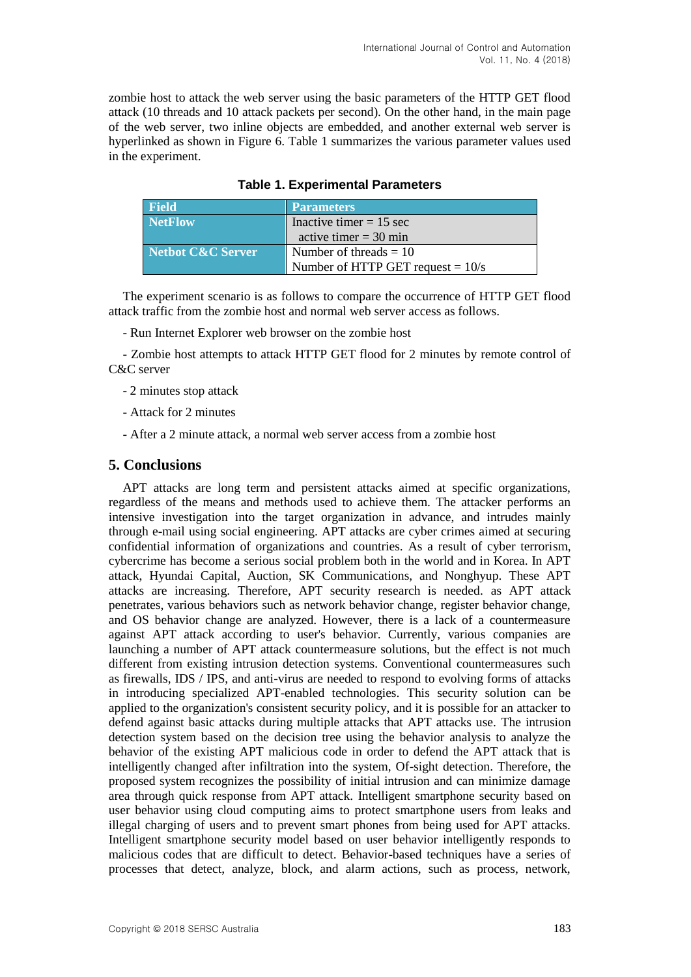zombie host to attack the web server using the basic parameters of the HTTP GET flood attack (10 threads and 10 attack packets per second). On the other hand, in the main page of the web server, two inline objects are embedded, and another external web server is hyperlinked as shown in Figure 6. Table 1 summarizes the various parameter values used in the experiment.

| <b>Field</b>      | <b>Parameters</b>                   |  |
|-------------------|-------------------------------------|--|
| <b>NetFlow</b>    | Inactive timer $= 15$ sec           |  |
|                   | active timer $=$ 30 min             |  |
| Netbot C&C Server | Number of threads $= 10$            |  |
|                   | Number of HTTP GET request $= 10/s$ |  |

### **Table 1. Experimental Parameters**

The experiment scenario is as follows to compare the occurrence of HTTP GET flood attack traffic from the zombie host and normal web server access as follows.

- Run Internet Explorer web browser on the zombie host

- Zombie host attempts to attack HTTP GET flood for 2 minutes by remote control of C&C server

- 2 minutes stop attack
- Attack for 2 minutes
- After a 2 minute attack, a normal web server access from a zombie host

### **5. Conclusions**

APT attacks are long term and persistent attacks aimed at specific organizations, regardless of the means and methods used to achieve them. The attacker performs an intensive investigation into the target organization in advance, and intrudes mainly through e-mail using social engineering. APT attacks are cyber crimes aimed at securing confidential information of organizations and countries. As a result of cyber terrorism, cybercrime has become a serious social problem both in the world and in Korea. In APT attack, Hyundai Capital, Auction, SK Communications, and Nonghyup. These APT attacks are increasing. Therefore, APT security research is needed. as APT attack penetrates, various behaviors such as network behavior change, register behavior change, and OS behavior change are analyzed. However, there is a lack of a countermeasure against APT attack according to user's behavior. Currently, various companies are launching a number of APT attack countermeasure solutions, but the effect is not much different from existing intrusion detection systems. Conventional countermeasures such as firewalls, IDS / IPS, and anti-virus are needed to respond to evolving forms of attacks in introducing specialized APT-enabled technologies. This security solution can be applied to the organization's consistent security policy, and it is possible for an attacker to defend against basic attacks during multiple attacks that APT attacks use. The intrusion detection system based on the decision tree using the behavior analysis to analyze the behavior of the existing APT malicious code in order to defend the APT attack that is intelligently changed after infiltration into the system, Of-sight detection. Therefore, the proposed system recognizes the possibility of initial intrusion and can minimize damage area through quick response from APT attack. Intelligent smartphone security based on user behavior using cloud computing aims to protect smartphone users from leaks and illegal charging of users and to prevent smart phones from being used for APT attacks. Intelligent smartphone security model based on user behavior intelligently responds to malicious codes that are difficult to detect. Behavior-based techniques have a series of processes that detect, analyze, block, and alarm actions, such as process, network,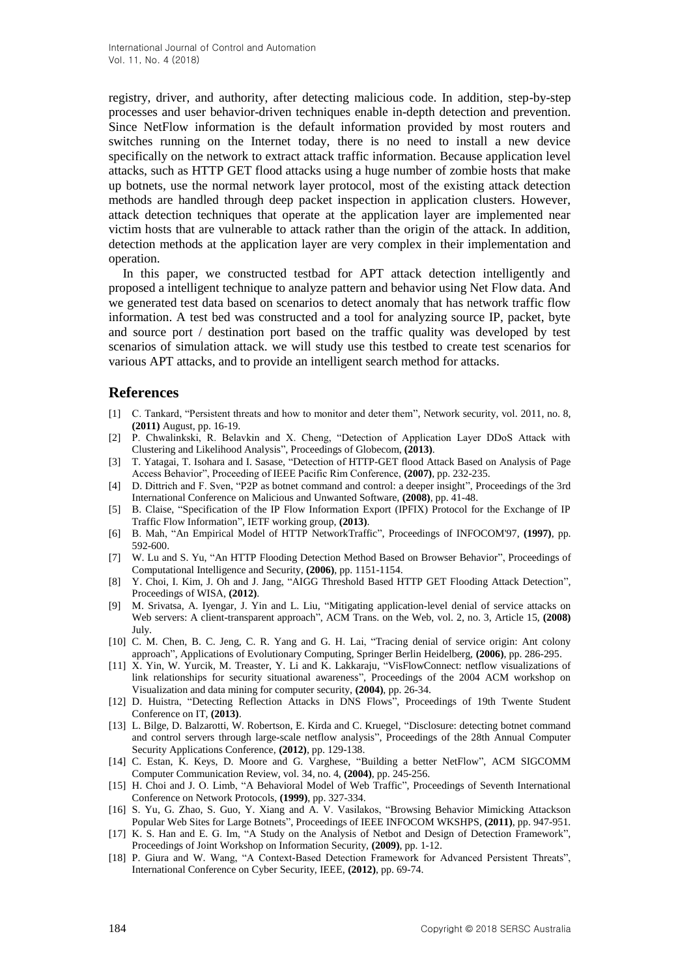registry, driver, and authority, after detecting malicious code. In addition, step-by-step processes and user behavior-driven techniques enable in-depth detection and prevention. Since NetFlow information is the default information provided by most routers and switches running on the Internet today, there is no need to install a new device specifically on the network to extract attack traffic information. Because application level attacks, such as HTTP GET flood attacks using a huge number of zombie hosts that make up botnets, use the normal network layer protocol, most of the existing attack detection methods are handled through deep packet inspection in application clusters. However, attack detection techniques that operate at the application layer are implemented near victim hosts that are vulnerable to attack rather than the origin of the attack. In addition, detection methods at the application layer are very complex in their implementation and operation.

In this paper, we constructed testbad for APT attack detection intelligently and proposed a intelligent technique to analyze pattern and behavior using Net Flow data. And we generated test data based on scenarios to detect anomaly that has network traffic flow information. A test bed was constructed and a tool for analyzing source IP, packet, byte and source port / destination port based on the traffic quality was developed by test scenarios of simulation attack. we will study use this testbed to create test scenarios for various APT attacks, and to provide an intelligent search method for attacks.

### **References**

- [1] C. Tankard, "Persistent threats and how to monitor and deter them", Network security, vol. 2011, no. 8, **(2011)** August, pp. 16-19.
- [2] P. Chwalinkski, R. Belavkin and X. Cheng, "Detection of Application Layer DDoS Attack with Clustering and Likelihood Analysis", Proceedings of Globecom, **(2013)**.
- [3] T. Yatagai, T. Isohara and I. Sasase, "Detection of HTTP-GET flood Attack Based on Analysis of Page Access Behavior", Proceeding of IEEE Pacific Rim Conference, **(2007)**, pp. 232-235.
- [4] D. Dittrich and F. Sven, "P2P as botnet command and control: a deeper insight", Proceedings of the 3rd International Conference on Malicious and Unwanted Software, **(2008)**, pp. 41-48.
- [5] B. Claise, "Specification of the IP Flow Information Export (IPFIX) Protocol for the Exchange of IP Traffic Flow Information", IETF working group, **(2013)**.
- [6] B. Mah, "An Empirical Model of HTTP NetworkTraffic", Proceedings of INFOCOM'97, **(1997)**, pp. 592-600.
- [7] W. Lu and S. Yu, "An HTTP Flooding Detection Method Based on Browser Behavior", Proceedings of Computational Intelligence and Security, **(2006)**, pp. 1151-1154.
- [8] Y. Choi, I. Kim, J. Oh and J. Jang, "AIGG Threshold Based HTTP GET Flooding Attack Detection", Proceedings of WISA, **(2012)**.
- [9] M. Srivatsa, A. Iyengar, J. Yin and L. Liu, "Mitigating application-level denial of service attacks on Web servers: A client-transparent approach", ACM Trans. on the Web, vol. 2, no. 3, Article 15, **(2008)** July.
- [10] C. M. Chen, B. C. Jeng, C. R. Yang and G. H. Lai, "Tracing denial of service origin: Ant colony approach", Applications of Evolutionary Computing, Springer Berlin Heidelberg, **(2006)**, pp. 286-295.
- [11] X. Yin, W. Yurcik, M. Treaster, Y. Li and K. Lakkaraju, "VisFlowConnect: netflow visualizations of link relationships for security situational awareness", Proceedings of the 2004 ACM workshop on Visualization and data mining for computer security, **(2004)**, pp. 26-34.
- [12] D. Huistra, "Detecting Reflection Attacks in DNS Flows", Proceedings of 19th Twente Student Conference on IT, **(2013)**.
- [13] L. Bilge, D. Balzarotti, W. Robertson, E. Kirda and C. Kruegel, "Disclosure: detecting botnet command and control servers through large-scale netflow analysis", Proceedings of the 28th Annual Computer Security Applications Conference, **(2012)**, pp. 129-138.
- [14] C. Estan, K. Keys, D. Moore and G. Varghese, "Building a better NetFlow", ACM SIGCOMM Computer Communication Review, vol. 34, no. 4, **(2004)**, pp. 245-256.
- [15] H. Choi and J. O. Limb, "A Behavioral Model of Web Traffic", Proceedings of Seventh International Conference on Network Protocols, **(1999)**, pp. 327-334.
- [16] S. Yu, G. Zhao, S. Guo, Y. Xiang and A. V. Vasilakos, "Browsing Behavior Mimicking Attackson Popular Web Sites for Large Botnets", Proceedings of IEEE INFOCOM WKSHPS, **(2011)**, pp. 947-951.
- [17] K. S. Han and E. G. Im, "A Study on the Analysis of Netbot and Design of Detection Framework", Proceedings of Joint Workshop on Information Security, **(2009)**, pp. 1-12.
- [18] P. Giura and W. Wang, "A Context-Based Detection Framework for Advanced Persistent Threats", International Conference on Cyber Security, IEEE, **(2012)**, pp. 69-74.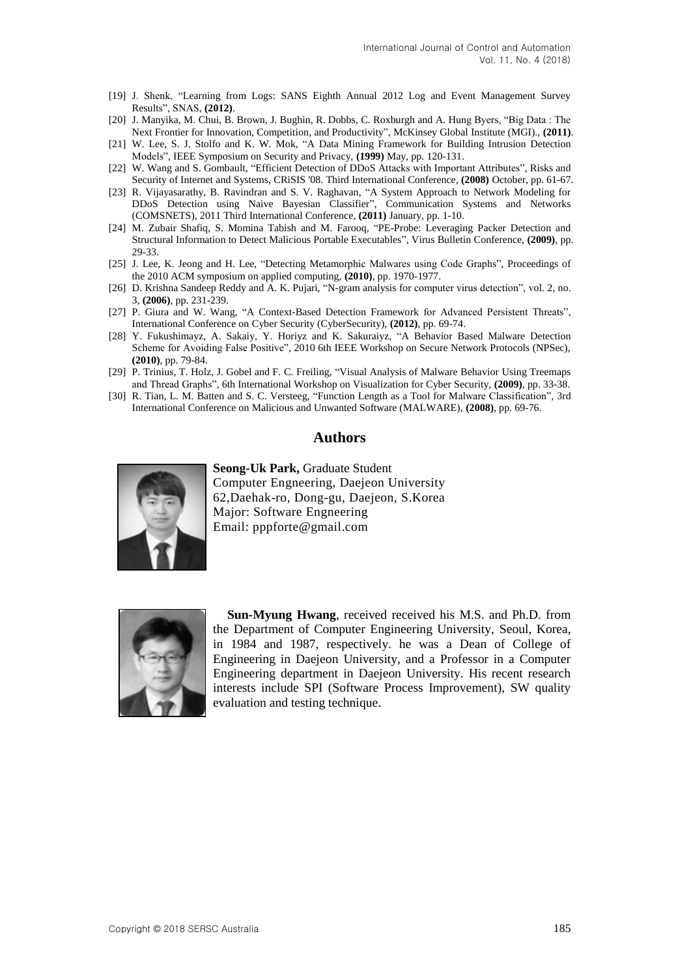- [19] J. Shenk, "Learning from Logs: SANS Eighth Annual 2012 Log and Event Management Survey Results", SNAS, **(2012)**.
- [20] J. Manyika, M. Chui, B. Brown, J. Bughin, R. Dobbs, C. Roxburgh and A. Hung Byers, "Big Data : The Next Frontier for Innovation, Competition, and Productivity", McKinsey Global Institute (MGI)., **(2011)**.
- [21] W. Lee, S. J. Stolfo and K. W. Mok, "A Data Mining Framework for Building Intrusion Detection Models", IEEE Symposium on Security and Privacy, **(1999)** May, pp. 120-131.
- [22] W. Wang and S. Gombault, "Efficient Detection of DDoS Attacks with Important Attributes", Risks and Security of Internet and Systems, CRiSIS '08. Third International Conference, **(2008)** October, pp. 61-67.
- [23] R. Vijayasarathy, B. Ravindran and S. V. Raghavan, "A System Approach to Network Modeling for DDoS Detection using Naive Bayesian Classifier", Communication Systems and Networks (COMSNETS), 2011 Third International Conference, **(2011)** January, pp. 1-10.
- [24] M. Zubair Shafiq, S. Momina Tabish and M. Farooq, "PE-Probe: Leveraging Packer Detection and Structural Information to Detect Malicious Portable Executables", Virus Bulletin Conference, **(2009)**, pp. 29-33.
- [25] J. Lee, K. Jeong and H. Lee, "Detecting Metamorphic Malwares using Code Graphs", Proceedings of the 2010 ACM symposium on applied computing, **(2010)**, pp. 1970-1977.
- [26] D. Krishna Sandeep Reddy and A. K. Pujari, "N-gram analysis for computer virus detection", vol. 2, no. 3, **(2006)**, pp. 231-239.
- [27] P. Giura and W. Wang, "A Context-Based Detection Framework for Advanced Persistent Threats", International Conference on Cyber Security (CyberSecurity), **(2012)**, pp. 69-74.
- [28] Y. Fukushimayz, A. Sakaiy, Y. Horiyz and K. Sakuraiyz, "A Behavior Based Malware Detection Scheme for Avoiding False Positive", 2010 6th IEEE Workshop on Secure Network Protocols (NPSec), **(2010)**, pp. 79-84.
- [29] P. Trinius, T. Holz, J. Gobel and F. C. Freiling, "Visual Analysis of Malware Behavior Using Treemaps and Thread Graphs", 6th International Workshop on Visualization for Cyber Security, **(2009)**, pp. 33-38.
- [30] R. Tian, L. M. Batten and S. C. Versteeg, "Function Length as a Tool for Malware Classification", 3rd International Conference on Malicious and Unwanted Software (MALWARE), **(2008)**, pp. 69-76.

#### **Authors**



**Seong-Uk Park,** Graduate Student Computer Engneering, Daejeon University 62,Daehak-ro, Dong-gu, Daejeon, S.Korea Major: Software Engneering Email: pppforte@gmail.com



**Sun-Myung Hwang**, received received his M.S. and Ph.D. from the Department of Computer Engineering University, Seoul, Korea, in 1984 and 1987, respectively. he was a Dean of College of Engineering in Daejeon University, and a Professor in a Computer Engineering department in Daejeon University. His recent research interests include SPI (Software Process Improvement), SW quality evaluation and testing technique.